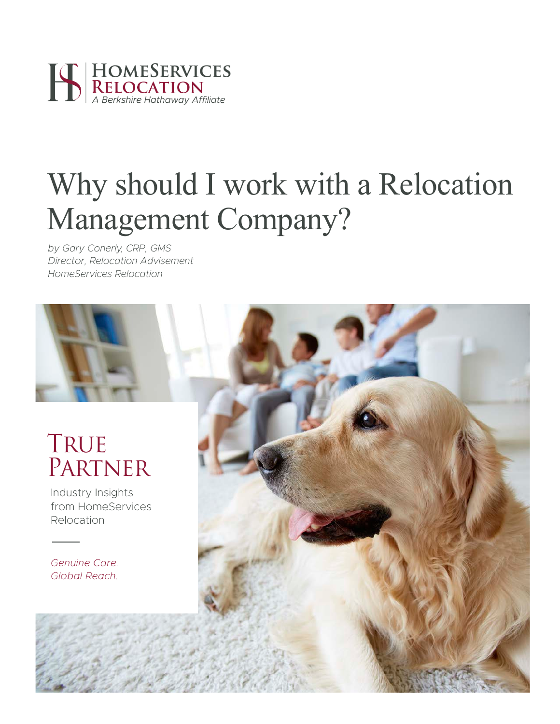

# Why should I work with a Relocation Management Company?

*by Gary Conerly, CRP, GMS Director, Relocation Advisement HomeServices Relocation*



Industry Insights from HomeServices Relocation

*Genuine Care. Global Reach.*

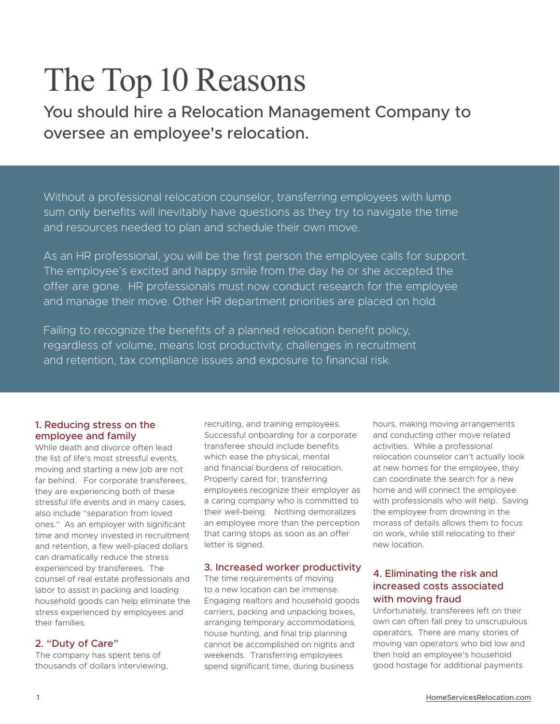# The Top 10 Reasons

You should hire a Relocation Management Company to oversee an employee's relocation.

Without a professional relocation counselor, transferring employees with lump sum only benefits will inevitably have questions as they try to navigate the time and resources needed to plan and schedule their own move.

As an HR professional, you will be the first person the employee calls for support. The employee's excited and happy smile from the day he or she accepted the offer are gone. HR professionals must now conduct research for the employee and manage their move. Other HR department priorities are placed on hold.

Failing to recognize the benefits of a planned relocation benefit policy, regardless of volume, means lost productivity, challenges in recruitment and retention, tax compliance issues and exposure to financial risk.

# 1. Reducing stress on the employee and family

While death and divorce often lead the list of life's most stressful events, moving and starting a new job are not far behind. For corporate transferees, they are experiencing both of these stressful life events and in many cases, also include "separation from loved ones." As an employer with significant time and money invested in recruitment and retention, a few well-placed dollars can dramatically reduce the stress experienced by transferees. The counsel of real estate professionals and labor to assist in packing and loading household goods can help eliminate the stress experienced by employees and their families.

# 2. "Duty of Care"

The company has spent tens of thousands of dollars interviewing, recruiting, and training employees. Successful onboarding for a corporate transferee should include benefits which ease the physical, mental and financial burdens of relocation. Properly cared for, transferring employees recognize their employer as a caring company who is committed to their well-being. Nothing demoralizes an employee more than the perception that caring stops as soon as an offer letter is signed.

### 3. Increased worker productivity

The time requirements of moving to a new location can be immense. Engaging realtors and household goods carriers, packing and unpacking boxes, arranging temporary accommodations, house hunting, and final trip planning cannot be accomplished on nights and weekends. Transferring employees spend significant time, during business

hours, making moving arrangements and conducting other move related activities. While a professional relocation counselor can't actually look at new homes for the employee, they can coordinate the search for a new home and will connect the employee with professionals who will help. Saving the employee from drowning in the morass of details allows them to focus on work, while still relocating to their new location.

# 4. Eliminating the risk and increased costs associated with moving fraud

Unfortunately, transferees left on their own can often fall prey to unscrupulous operators. There are many stories of moving van operators who bid low and then hold an employee's household good hostage for additional payments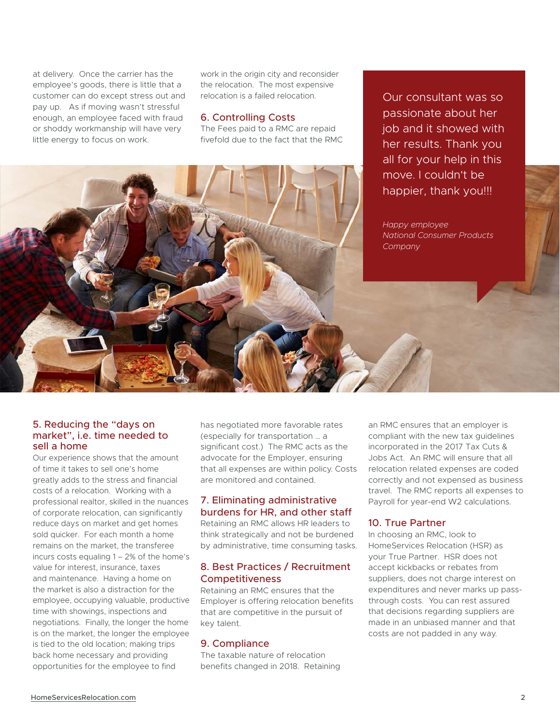at delivery. Once the carrier has the employee's goods, there is little that a customer can do except stress out and pay up. As if moving wasn't stressful enough, an employee faced with fraud or shoddy workmanship will have very little energy to focus on work.

work in the origin city and reconsider the relocation. The most expensive relocation is a failed relocation.

#### 6. Controlling Costs

The Fees paid to a RMC are repaid fivefold due to the fact that the RMC

Our consultant was so passionate about her job and it showed with her results. Thank you all for your help in this move. I couldn't be happier, thank you!!!

*Happy employee National Consumer Products Company*

## 5. Reducing the "days on market", i.e. time needed to sell a home

Our experience shows that the amount of time it takes to sell one's home greatly adds to the stress and financial costs of a relocation. Working with a professional realtor, skilled in the nuances of corporate relocation, can significantly reduce days on market and get homes sold quicker. For each month a home remains on the market, the transferee incurs costs equaling 1 – 2% of the home's value for interest, insurance, taxes and maintenance. Having a home on the market is also a distraction for the employee, occupying valuable, productive time with showings, inspections and negotiations. Finally, the longer the home is on the market, the longer the employee is tied to the old location; making trips back home necessary and providing opportunities for the employee to find

has negotiated more favorable rates (especially for transportation … a significant cost.) The RMC acts as the advocate for the Employer, ensuring that all expenses are within policy. Costs are monitored and contained.

# 7. Eliminating administrative burdens for HR, and other staff

Retaining an RMC allows HR leaders to think strategically and not be burdened by administrative, time consuming tasks.

## 8. Best Practices / Recruitment **Competitiveness**

Retaining an RMC ensures that the Employer is offering relocation benefits that are competitive in the pursuit of key talent.

### 9. Compliance

The taxable nature of relocation benefits changed in 2018. Retaining an RMC ensures that an employer is compliant with the new tax guidelines incorporated in the 2017 Tax Cuts & Jobs Act. An RMC will ensure that all relocation related expenses are coded correctly and not expensed as business travel. The RMC reports all expenses to Payroll for year-end W2 calculations.

# 10. True Partner

In choosing an RMC, look to HomeServices Relocation (HSR) as your True Partner. HSR does not accept kickbacks or rebates from suppliers, does not charge interest on expenditures and never marks up passthrough costs. You can rest assured that decisions regarding suppliers are made in an unbiased manner and that costs are not padded in any way.